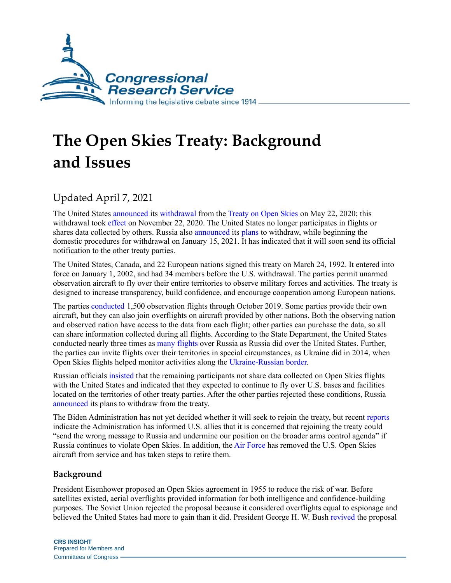

# **The Open Skies Treaty: Background and Issues**

# Updated April 7, 2021

The United States [announced](https://www.defense.gov/Newsroom/Releases/Release/Article/2195239/dod-statement-on-open-skies-treaty-withdrawal/) its [withdrawal](https://www.defense.gov/Newsroom/Releases/Release/Article/2195239/dod-statement-on-open-skies-treaty-withdrawal/) from the [Treaty on Open Skies](https://2009-2017.state.gov/t/avc/cca/os/index.htm) on May 22, 2020; this withdrawal took [effect](https://2017-2021.state.gov/treaty-on-open-skies/index.html) on November 22, 2020. The United States no longer participates in flights or shares data collected by others. Russia also [announced](https://www.mid.ru/en/foreign_policy/news/-/asset_publisher/cKNonkJE02Bw/content/id/4522563) its [plans](https://www.nytimes.com/2021/01/15/world/europe/russia-open-skies-treaty-biden.html?action=click&module=Latest&pgtype=Homepage) to withdraw, while beginning the domestic procedures for withdrawal on January 15, 2021. It has indicated that it will soon send its official notification to the other treaty parties.

The United States, Canada, and 22 European nations signed this treaty on March 24, 1992. It entered into force on January 1, 2002, and had 34 members before the U.S. withdrawal. The parties permit unarmed observation aircraft to fly over their entire territories to observe military forces and activities. The treaty is designed to increase transparency, build confidence, and encourage cooperation among European nations.

The parties [conducted](https://twitter.com/ItalyatOSCE/status/1180064540307968002) 1,500 observation flights through October 2019. Some parties provide their own aircraft, but they can also join overflights on aircraft provided by other nations. Both the observing nation and observed nation have access to the data from each flight; other parties can purchase the data, so all can share information collected during all flights. According to the State Department, the United States conducted nearly three times as [many flights](https://2009-2017.state.gov/t/avc/rls/2016/258061.htm) over Russia as Russia did over the United States. Further, the parties can invite flights over their territories in special circumstances, as Ukraine did in 2014, when Open Skies flights helped monitor activities along the [Ukraine-Russian border.](https://docs.house.gov/meetings/FA/FA18/20140429/102163/HHRG-113-FA18-Transcript-20140429.pdf)

Russian officials [insisted](https://tass.com/politics/1223105) that the remaining participants not share data collected on Open Skies flights with the United States and indicated that they expected to continue to fly over U.S. bases and facilities located on the territories of other treaty parties. After the other parties rejected these conditions, Russia [announced](https://apnews.com/article/military-facilities-moscow-europe-russia-e58019b80ae95e12007265aedfac229b) its plans to withdraw from the treaty.

The Biden Administration has not yet decided whether it will seek to rejoin the treaty, but recent [reports](https://www.defensenews.com/breaking-news/2021/04/07/rejoining-open-skies-would-send-wrong-message-to-russia-says-us-state-department/?utm_source=Sailthru&utm_medium=email&utm_campaign=Exclusive%204.7.21&utm_term=Editorial%20-%20Breaking%20News) indicate the Administration has informed U.S. allies that it is concerned that rejoining the treaty could "send the wrong message to Russia and undermine our position on the broader arms control agenda" if Russia continues to violate Open Skies. In addition, the [Air Force](https://omaha.com/news/local/offutts-open-skies-jets-headed-for-desert-scrapyard/article_1cd4409c-9334-11eb-850b-f7ec84a57630.html?utm_source=Sailthru&utm_medium=email&utm_campaign=EBB%2004.05.21&utm_term=Editorial%20-%20Early%20Bird%20Brief) has removed the U.S. Open Skies aircraft from service and has taken steps to retire them.

### **Background**

President Eisenhower proposed an Open Skies agreement in 1955 to reduce the risk of war. Before satellites existed, aerial overflights provided information for both intelligence and confidence-building purposes. The Soviet Union rejected the proposal because it considered overflights equal to espionage and believed the United States had more to gain than it did. President George H. W. Bush [revived](https://millercenter.org/the-presidency/presidential-speeches/may-12-1989-commencement-address-texas-am-university) the proposal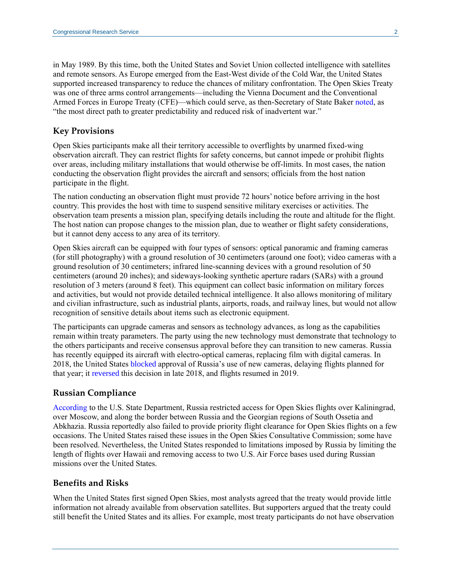in May 1989. By this time, both the United States and Soviet Union collected intelligence with satellites and remote sensors. As Europe emerged from the East-West divide of the Cold War, the United States supported increased transparency to reduce the chances of military confrontation. The Open Skies Treaty was one of three arms control arrangements—including the Vienna Document and the Conventional Armed Forces in Europe Treaty (CFE)—which could serve, as then-Secretary of State Baker [noted,](https://2009-2017.state.gov/t/us/187029.htm) as "the most direct path to greater predictability and reduced risk of inadvertent war."

#### **Key Provisions**

Open Skies participants make all their territory accessible to overflights by unarmed fixed-wing observation aircraft. They can restrict flights for safety concerns, but cannot impede or prohibit flights over areas, including military installations that would otherwise be off-limits. In most cases, the nation conducting the observation flight provides the aircraft and sensors; officials from the host nation participate in the flight.

The nation conducting an observation flight must provide 72 hours' notice before arriving in the host country. This provides the host with time to suspend sensitive military exercises or activities. The observation team presents a mission plan, specifying details including the route and altitude for the flight. The host nation can propose changes to the mission plan, due to weather or flight safety considerations, but it cannot deny access to any area of its territory.

Open Skies aircraft can be equipped with four types of sensors: optical panoramic and framing cameras (for still photography) with a ground resolution of 30 centimeters (around one foot); video cameras with a ground resolution of 30 centimeters; infrared line-scanning devices with a ground resolution of 50 centimeters (around 20 inches); and sideways-looking synthetic aperture radars (SARs) with a ground resolution of 3 meters (around 8 feet). This equipment can collect basic information on military forces and activities, but would not provide detailed technical intelligence. It also allows monitoring of military and civilian infrastructure, such as industrial plants, airports, roads, and railway lines, but would not allow recognition of sensitive details about items such as electronic equipment.

The participants can upgrade cameras and sensors as technology advances, as long as the capabilities remain within treaty parameters. The party using the new technology must demonstrate that technology to the others participants and receive consensus approval before they can transition to new cameras. Russia has recently equipped its aircraft with electro-optical cameras, replacing film with digital cameras. In 2018, the United States [blocked](https://www.defensenews.com/air/2018/09/14/us-russia-remain-at-impasse-over-nuclear-treaty-flights/?utm_source=Sailthru&utm_medium=email&utm_campaign=ebb%2017.09.18&utm_term=Editorial%20-%20Early%20Bird%20Brief) approval of Russia's use of new cameras, delaying flights planned for that year; it [reversed](https://www.defensenews.com/global/europe/2018/09/20/us-reverses-course-certifies-russian-open-skies-aircraft/) this decision in late 2018, and flights resumed in 2019.

#### **Russian Compliance**

[According](https://www.state.gov/t/avc/rls/rpt/2017/270330.htm) to the U.S. State Department, Russia restricted access for Open Skies flights over Kaliningrad, over Moscow, and along the border between Russia and the Georgian regions of South Ossetia and Abkhazia. Russia reportedly also failed to provide priority flight clearance for Open Skies flights on a few occasions. The United States raised these issues in the Open Skies Consultative Commission; some have been resolved. Nevertheless, the United States responded to limitations imposed by Russia by limiting the length of flights over Hawaii and removing access to two U.S. Air Force bases used during Russian missions over the United States.

#### **Benefits and Risks**

When the United States first signed Open Skies, most analysts agreed that the treaty would provide little information not already available from observation satellites. But supporters argued that the treaty could still benefit the United States and its allies. For example, most treaty participants do not have observation